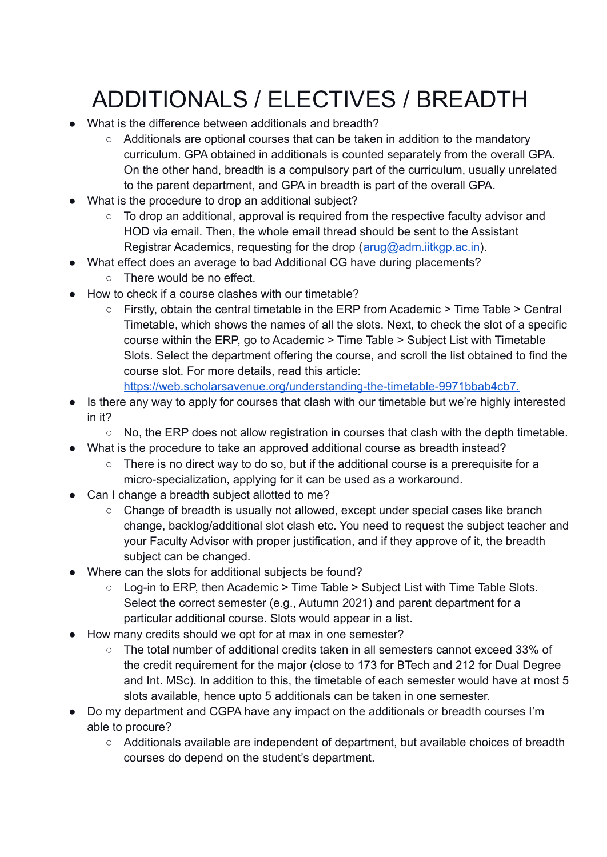# ADDITIONALS / ELECTIVES / BREADTH

- What is the difference between additionals and breadth?
	- Additionals are optional courses that can be taken in addition to the mandatory curriculum. GPA obtained in additionals is counted separately from the overall GPA. On the other hand, breadth is a compulsory part of the curriculum, usually unrelated to the parent department, and GPA in breadth is part of the overall GPA.
- What is the procedure to drop an additional subject?
	- To drop an additional, approval is required from the respective faculty advisor and HOD via email. Then, the whole email thread should be sent to the Assistant Registrar Academics, requesting for the drop (arug@adm.iitkgp.ac.in).
- What effect does an average to bad Additional CG have during placements?
	- There would be no effect.
- How to check if a course clashes with our timetable?
	- Firstly, obtain the central timetable in the ERP from Academic > Time Table > Central Timetable, which shows the names of all the slots. Next, to check the slot of a specific course within the ERP, go to Academic > Time Table > Subject List with Timetable Slots. Select the department offering the course, and scroll the list obtained to find the course slot. For more details, read this article[:](https://web.scholarsavenue.org/understanding-the-timetable-9971bbab4cb7)

[https://web.scholarsavenue.org/understanding-the-timetable-9971bbab4cb7.](https://web.scholarsavenue.org/understanding-the-timetable-9971bbab4cb7)

- Is there any way to apply for courses that clash with our timetable but we're highly interested in it?
	- No, the ERP does not allow registration in courses that clash with the depth timetable.
- What is the procedure to take an approved additional course as breadth instead?
	- There is no direct way to do so, but if the additional course is a prerequisite for a micro-specialization, applying for it can be used as a workaround.
- Can I change a breadth subject allotted to me?
	- Change of breadth is usually not allowed, except under special cases like branch change, backlog/additional slot clash etc. You need to request the subject teacher and your Faculty Advisor with proper justification, and if they approve of it, the breadth subject can be changed.
- Where can the slots for additional subjects be found?
	- Log-in to ERP, then Academic > Time Table > Subject List with Time Table Slots. Select the correct semester (e.g., Autumn 2021) and parent department for a particular additional course. Slots would appear in a list.
- How many credits should we opt for at max in one semester?
	- The total number of additional credits taken in all semesters cannot exceed 33% of the credit requirement for the major (close to 173 for BTech and 212 for Dual Degree and Int. MSc). In addition to this, the timetable of each semester would have at most 5 slots available, hence upto 5 additionals can be taken in one semester.
- Do my department and CGPA have any impact on the additionals or breadth courses I'm able to procure?
	- Additionals available are independent of department, but available choices of breadth courses do depend on the student's department.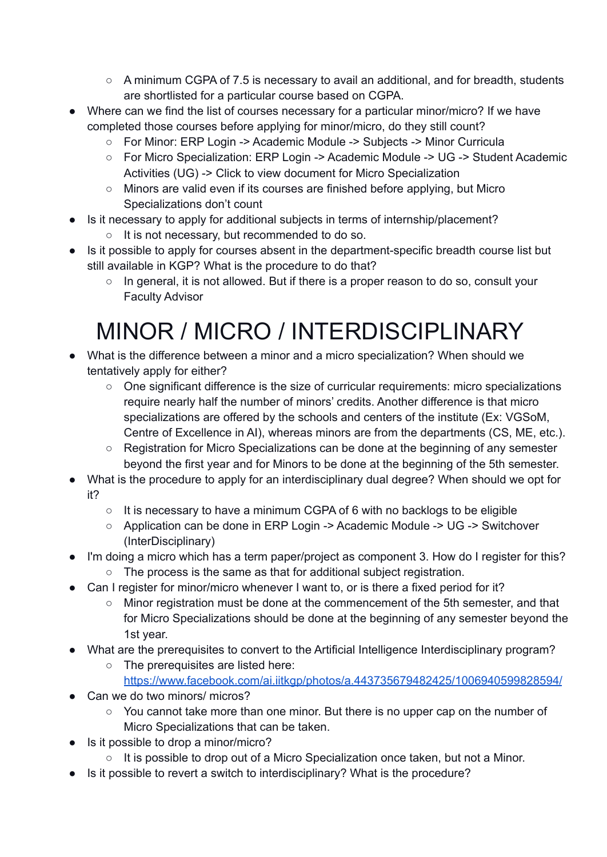- A minimum CGPA of 7.5 is necessary to avail an additional, and for breadth, students are shortlisted for a particular course based on CGPA.
- Where can we find the list of courses necessary for a particular minor/micro? If we have completed those courses before applying for minor/micro, do they still count?
	- For Minor: ERP Login -> Academic Module -> Subjects -> Minor Curricula
	- For Micro Specialization: ERP Login -> Academic Module -> UG -> Student Academic Activities (UG) -> Click to view document for Micro Specialization
	- $\circ$  Minors are valid even if its courses are finished before applying, but Micro Specializations don't count
- Is it necessary to apply for additional subjects in terms of internship/placement?
	- It is not necessary, but recommended to do so.
- Is it possible to apply for courses absent in the department-specific breadth course list but still available in KGP? What is the procedure to do that?
	- In general, it is not allowed. But if there is a proper reason to do so, consult your Faculty Advisor

## MINOR / MICRO / INTERDISCIPLINARY

- What is the difference between a minor and a micro specialization? When should we tentatively apply for either?
	- One significant difference is the size of curricular requirements: micro specializations require nearly half the number of minors' credits. Another difference is that micro specializations are offered by the schools and centers of the institute (Ex: VGSoM, Centre of Excellence in AI), whereas minors are from the departments (CS, ME, etc.).
	- Registration for Micro Specializations can be done at the beginning of any semester beyond the first year and for Minors to be done at the beginning of the 5th semester.
- What is the procedure to apply for an interdisciplinary dual degree? When should we opt for it?
	- It is necessary to have a minimum CGPA of 6 with no backlogs to be eligible
	- Application can be done in ERP Login -> Academic Module -> UG -> Switchover (InterDisciplinary)
- I'm doing a micro which has a term paper/project as component 3. How do I register for this?
	- The process is the same as that for additional subject registration.
- Can I register for minor/micro whenever I want to, or is there a fixed period for it?
	- Minor registration must be done at the commencement of the 5th semester, and that for Micro Specializations should be done at the beginning of any semester beyond the 1st year.
- What are the prerequisites to convert to the Artificial Intelligence Interdisciplinary program?
	- The prerequisites are listed here:
		- <https://www.facebook.com/ai.iitkgp/photos/a.443735679482425/1006940599828594/>
- Can we do two minors/ micros?
	- You cannot take more than one minor. But there is no upper cap on the number of Micro Specializations that can be taken.
- Is it possible to drop a minor/micro?
	- It is possible to drop out of a Micro Specialization once taken, but not a Minor.
- Is it possible to revert a switch to interdisciplinary? What is the procedure?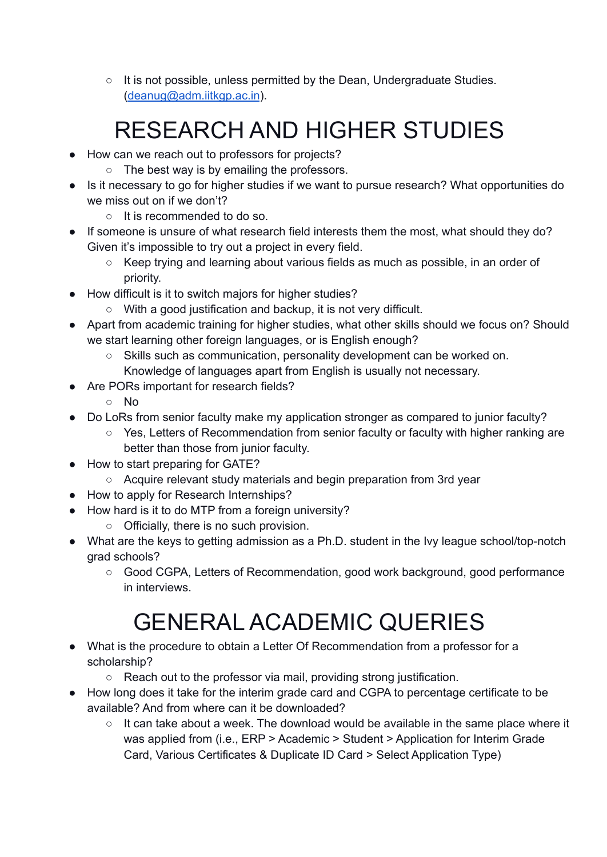○ It is not possible, unless permitted by the Dean, Undergraduate Studies. [\(deanug@adm.iitkgp.ac.in](mailto:deanug@adm.iitkgp.ac.in)).

# RESEARCH AND HIGHER STUDIES

- How can we reach out to professors for projects?
	- The best way is by emailing the professors.
- Is it necessary to go for higher studies if we want to pursue research? What opportunities do we miss out on if we don't?
	- It is recommended to do so.
- If someone is unsure of what research field interests them the most, what should they do? Given it's impossible to try out a project in every field.
	- Keep trying and learning about various fields as much as possible, in an order of priority.
- How difficult is it to switch majors for higher studies?
	- With a good justification and backup, it is not very difficult.
- Apart from academic training for higher studies, what other skills should we focus on? Should we start learning other foreign languages, or is English enough?
	- Skills such as communication, personality development can be worked on. Knowledge of languages apart from English is usually not necessary.
- Are PORs important for research fields?
	- No
- Do LoRs from senior faculty make my application stronger as compared to junior faculty?
	- Yes, Letters of Recommendation from senior faculty or faculty with higher ranking are better than those from junior faculty.
- How to start preparing for GATE?
	- Acquire relevant study materials and begin preparation from 3rd year
- How to apply for Research Internships?
- How hard is it to do MTP from a foreign university?
	- Officially, there is no such provision.
- What are the keys to getting admission as a Ph.D. student in the Ivy league school/top-notch grad schools?
	- Good CGPA, Letters of Recommendation, good work background, good performance in interviews.

## GENERAL ACADEMIC QUERIES

- What is the procedure to obtain a Letter Of Recommendation from a professor for a scholarship?
	- Reach out to the professor via mail, providing strong justification.
- How long does it take for the interim grade card and CGPA to percentage certificate to be available? And from where can it be downloaded?
	- $\circ$  It can take about a week. The download would be available in the same place where it was applied from (i.e., ERP > Academic > Student > Application for Interim Grade Card, Various Certificates & Duplicate ID Card > Select Application Type)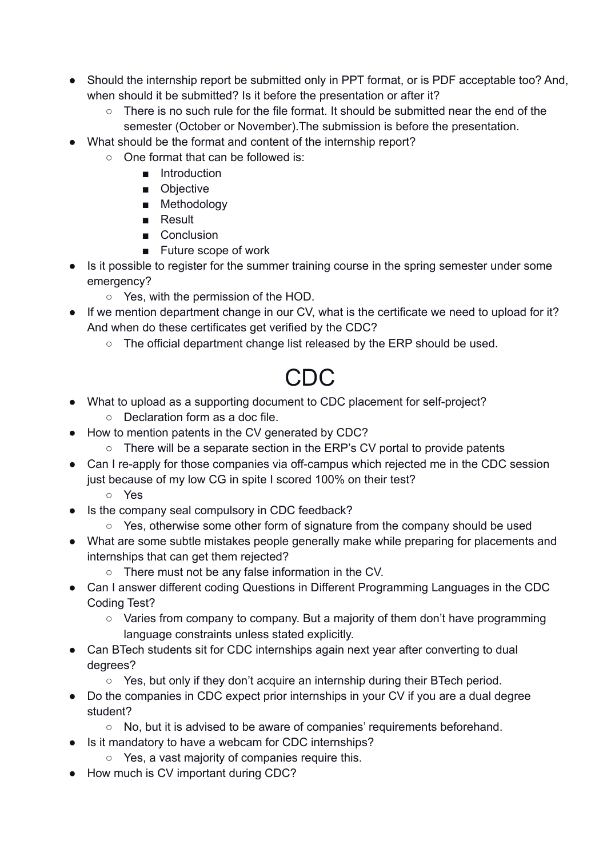- Should the internship report be submitted only in PPT format, or is PDF acceptable too? And, when should it be submitted? Is it before the presentation or after it?
	- $\circ$  There is no such rule for the file format. It should be submitted near the end of the semester (October or November).The submission is before the presentation.
- What should be the format and content of the internship report?
	- One format that can be followed is:
		- Introduction
			- Objective
			- Methodology
			- Result
			- Conclusion
			- Future scope of work
- Is it possible to register for the summer training course in the spring semester under some emergency?
	- Yes, with the permission of the HOD.
- If we mention department change in our CV, what is the certificate we need to upload for it? And when do these certificates get verified by the CDC?
	- The official department change list released by the ERP should be used.

#### CDC

- What to upload as a supporting document to CDC placement for self-project?
	- Declaration form as a doc file.
- How to mention patents in the CV generated by CDC?
	- There will be a separate section in the ERP's CV portal to provide patents
- Can I re-apply for those companies via off-campus which rejected me in the CDC session just because of my low CG in spite I scored 100% on their test?
	- Yes
- Is the company seal compulsory in CDC feedback?
	- Yes, otherwise some other form of signature from the company should be used
- What are some subtle mistakes people generally make while preparing for placements and internships that can get them rejected?
	- There must not be any false information in the CV.
- Can I answer different coding Questions in Different Programming Languages in the CDC Coding Test?
	- Varies from company to company. But a majority of them don't have programming language constraints unless stated explicitly.
- Can BTech students sit for CDC internships again next year after converting to dual degrees?
	- Yes, but only if they don't acquire an internship during their BTech period.
- Do the companies in CDC expect prior internships in your CV if you are a dual degree student?
	- No, but it is advised to be aware of companies' requirements beforehand.
- Is it mandatory to have a webcam for CDC internships?
	- Yes, a vast majority of companies require this.
- How much is CV important during CDC?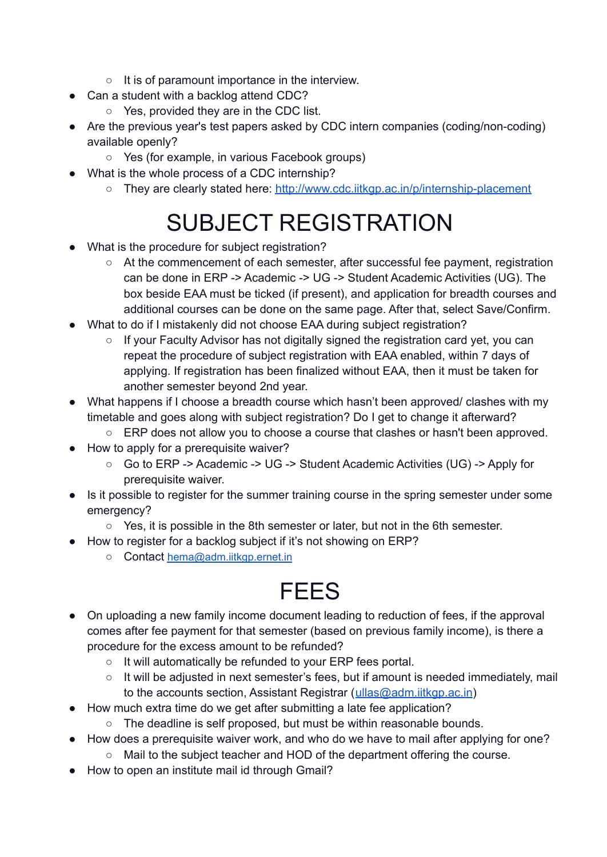- It is of paramount importance in the interview.
- Can a student with a backlog attend CDC?
	- Yes, provided they are in the CDC list.
- Are the previous year's test papers asked by CDC intern companies (coding/non-coding) available openly?
	- Yes (for example, in various Facebook groups)
- What is the whole process of a CDC internship?
	- They are clearly stated here: <http://www.cdc.iitkgp.ac.in/p/internship-placement>

### SUBJECT REGISTRATION

- What is the procedure for subject registration?
	- At the commencement of each semester, after successful fee payment, registration can be done in ERP -> Academic -> UG -> Student Academic Activities (UG). The box beside EAA must be ticked (if present), and application for breadth courses and additional courses can be done on the same page. After that, select Save/Confirm.
- What to do if I mistakenly did not choose EAA during subject registration?
	- If your Faculty Advisor has not digitally signed the registration card yet, you can repeat the procedure of subject registration with EAA enabled, within 7 days of applying. If registration has been finalized without EAA, then it must be taken for another semester beyond 2nd year.
- What happens if I choose a breadth course which hasn't been approved/ clashes with my timetable and goes along with subject registration? Do I get to change it afterward?
	- ERP does not allow you to choose a course that clashes or hasn't been approved.
- How to apply for a prerequisite waiver?
	- Go to ERP -> Academic -> UG -> Student Academic Activities (UG) -> Apply for prerequisite waiver.
- Is it possible to register for the summer training course in the spring semester under some emergency?
	- Yes, it is possible in the 8th semester or later, but not in the 6th semester.
- How to register for a backlog subject if it's not showing on ERP?
	- Contact [hema@adm.iitkgp.ernet.in](mailto:hema@adm.iitkgp.ernet.in)

### **FEES**

- On uploading a new family income document leading to reduction of fees, if the approval comes after fee payment for that semester (based on previous family income), is there a procedure for the excess amount to be refunded?
	- It will automatically be refunded to your ERP fees portal.
	- It will be adjusted in next semester's fees, but if amount is needed immediately, mail to the accounts section, Assistant Registrar ([ullas@adm.iitkgp.ac.in](mailto:ullas@adm.iitkgp.ac.in))
- How much extra time do we get after submitting a late fee application?
	- The deadline is self proposed, but must be within reasonable bounds.
- How does a prerequisite waiver work, and who do we have to mail after applying for one?
	- Mail to the subject teacher and HOD of the department offering the course.
- How to open an institute mail id through Gmail?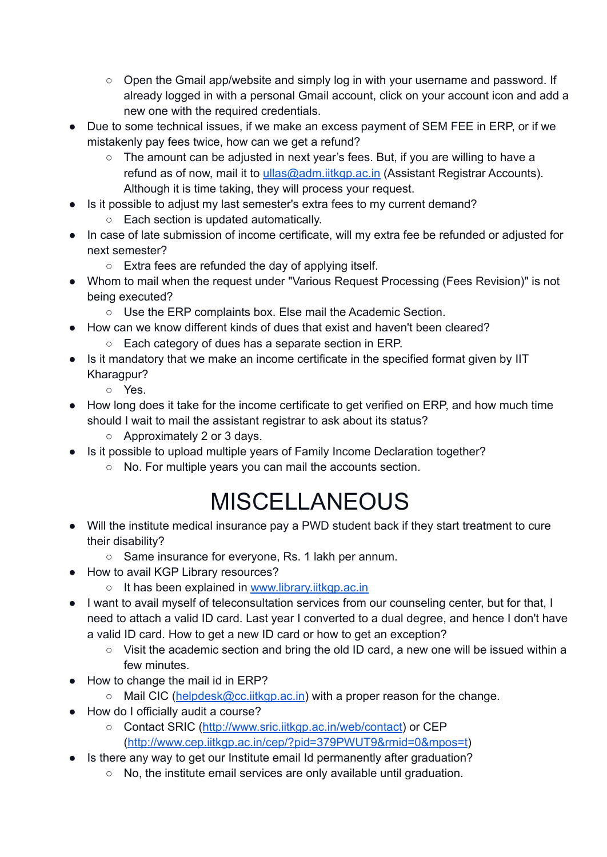- Open the Gmail app/website and simply log in with your username and password. If already logged in with a personal Gmail account, click on your account icon and add a new one with the required credentials.
- Due to some technical issues, if we make an excess payment of SEM FEE in ERP, or if we mistakenly pay fees twice, how can we get a refund?
	- The amount can be adjusted in next year's fees. But, if you are willing to have a refund as of now, mail it to [ullas@adm.iitkgp.ac.in](mailto:ullas@adm.iitkgp.ac.in) (Assistant Registrar Accounts). Although it is time taking, they will process your request.
- Is it possible to adjust my last semester's extra fees to my current demand?
	- Each section is updated automatically.
- In case of late submission of income certificate, will my extra fee be refunded or adjusted for next semester?
	- Extra fees are refunded the day of applying itself.
- Whom to mail when the request under "Various Request Processing (Fees Revision)" is not being executed?
	- Use the ERP complaints box. Else mail the Academic Section.
- How can we know different kinds of dues that exist and haven't been cleared?
	- Each category of dues has a separate section in ERP.
- Is it mandatory that we make an income certificate in the specified format given by IIT Kharagpur?
	- Yes.
- How long does it take for the income certificate to get verified on ERP, and how much time should I wait to mail the assistant registrar to ask about its status?
	- Approximately 2 or 3 days.
- Is it possible to upload multiple years of Family Income Declaration together?
	- No. For multiple years you can mail the accounts section.

### MISCELLANEOUS

- Will the institute medical insurance pay a PWD student back if they start treatment to cure their disability?
	- Same insurance for everyone, Rs. 1 lakh per annum.
- How to avail KGP Library resources?
	- It has been explained in [www.library.iitkgp.ac.in](http://www.library.iitkgp.ac.in)
- I want to avail myself of teleconsultation services from our counseling center, but for that, I need to attach a valid ID card. Last year I converted to a dual degree, and hence I don't have a valid ID card. How to get a new ID card or how to get an exception?
	- Visit the academic section and bring the old ID card, a new one will be issued within a few minutes.
- How to change the mail id in ERP?
	- Mail CIC ([helpdesk@cc.iitkgp.ac.in](mailto:helpdesk@cc.iitkgp.ac.in)) with a proper reason for the change.
- How do I officially audit a course?
	- Contact SRIC (<http://www.sric.iitkgp.ac.in/web/contact>) or CEP [\(http://www.cep.iitkgp.ac.in/cep/?pid=379PWUT9&rmid=0&mpos=t](http://www.cep.iitkgp.ac.in/cep/?pid=379PWUT9&rmid=0&mpos=t))
- Is there any way to get our Institute email Id permanently after graduation?
	- No, the institute email services are only available until graduation.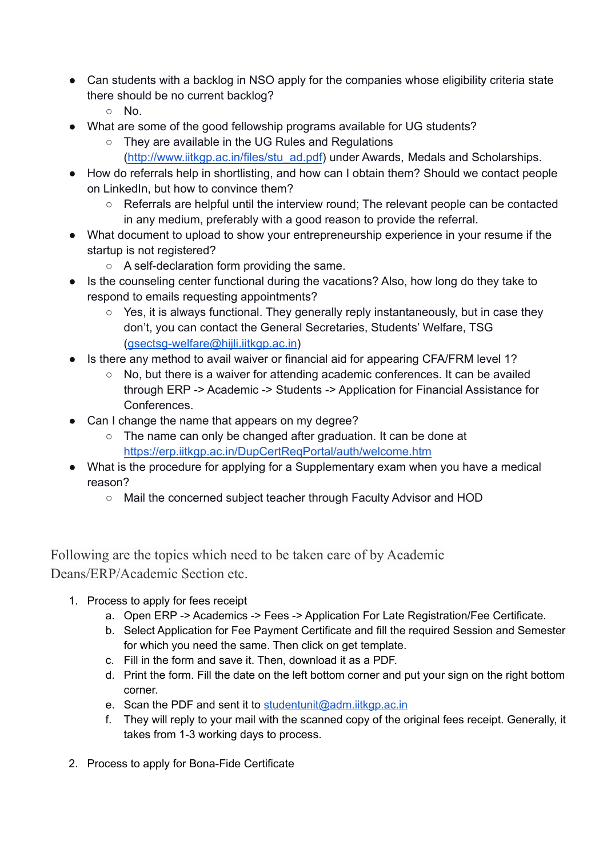- Can students with a backlog in NSO apply for the companies whose eligibility criteria state there should be no current backlog?
	- No.
- What are some of the good fellowship programs available for UG students?
	- They are available in the UG Rules and Regulations
		- [\(http://www.iitkgp.ac.in/files/stu\\_ad.pdf](http://www.iitkgp.ac.in/files/stu_ad.pdf)) under Awards, Medals and Scholarships.
- How do referrals help in shortlisting, and how can I obtain them? Should we contact people on LinkedIn, but how to convince them?
	- Referrals are helpful until the interview round; The relevant people can be contacted in any medium, preferably with a good reason to provide the referral.
- What document to upload to show your entrepreneurship experience in your resume if the startup is not registered?
	- A self-declaration form providing the same.
- Is the counseling center functional during the vacations? Also, how long do they take to respond to emails requesting appointments?
	- Yes, it is always functional. They generally reply instantaneously, but in case they don't, you can contact the General Secretaries, Students' Welfare, TSG [\(gsectsg-welfare@hijli.iitkgp.ac.in\)](mailto:gsectsg-welfare@hijli.iitkgp.ac.in)
- Is there any method to avail waiver or financial aid for appearing CFA/FRM level 1?
	- No, but there is a waiver for attending academic conferences. It can be availed through ERP -> Academic -> Students -> Application for Financial Assistance for Conferences.
- Can I change the name that appears on my degree?
	- The name can only be changed after graduation. It can be done at <https://erp.iitkgp.ac.in/DupCertReqPortal/auth/welcome.htm>
- What is the procedure for applying for a Supplementary exam when you have a medical reason?
	- Mail the concerned subject teacher through Faculty Advisor and HOD

Following are the topics which need to be taken care of by Academic Deans/ERP/Academic Section etc.

- 1. Process to apply for fees receipt
	- a. Open ERP -> Academics -> Fees -> Application For Late Registration/Fee Certificate.
	- b. Select Application for Fee Payment Certificate and fill the required Session and Semester for which you need the same. Then click on get template.
	- c. Fill in the form and save it. Then, download it as a PDF.
	- d. Print the form. Fill the date on the left bottom corner and put your sign on the right bottom corner.
	- e. Scan the PDF and sent it to [studentunit@adm.iitkgp.ac.in](mailto:studentunit@adm.iitkgp.ac.in)
	- f. They will reply to your mail with the scanned copy of the original fees receipt. Generally, it takes from 1-3 working days to process.
- 2. Process to apply for Bona-Fide Certificate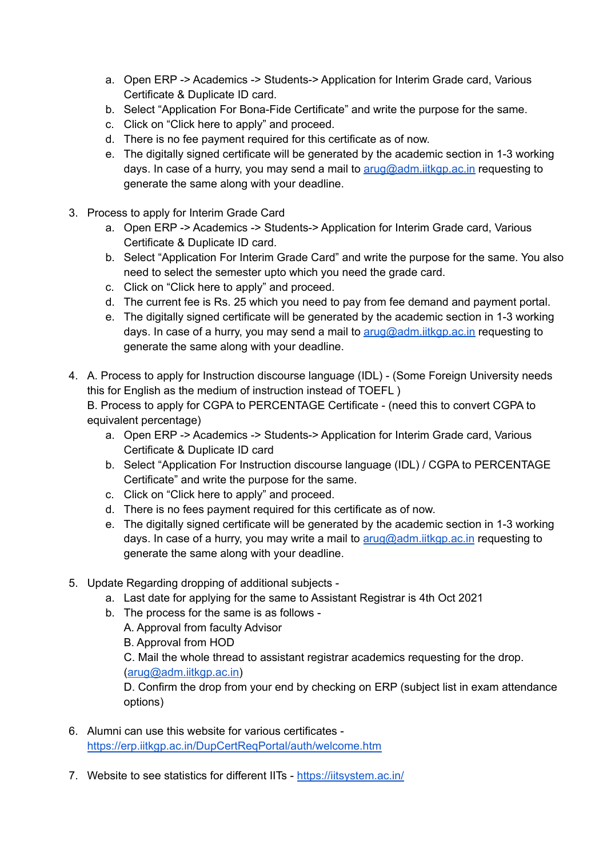- a. Open ERP -> Academics -> Students-> Application for Interim Grade card, Various Certificate & Duplicate ID card.
- b. Select "Application For Bona-Fide Certificate" and write the purpose for the same.
- c. Click on "Click here to apply" and proceed.
- d. There is no fee payment required for this certificate as of now.
- e. The digitally signed certificate will be generated by the academic section in 1-3 working days. In case of a hurry, you may send a mail to [arug@adm.iitkgp.ac.in](mailto:arug@adm.iitkgp.ac.in) requesting to generate the same along with your deadline.
- 3. Process to apply for Interim Grade Card
	- a. Open ERP -> Academics -> Students-> Application for Interim Grade card, Various Certificate & Duplicate ID card.
	- b. Select "Application For Interim Grade Card" and write the purpose for the same. You also need to select the semester upto which you need the grade card.
	- c. Click on "Click here to apply" and proceed.
	- d. The current fee is Rs. 25 which you need to pay from fee demand and payment portal.
	- e. The digitally signed certificate will be generated by the academic section in 1-3 working days. In case of a hurry, you may send a mail to  $\frac{\text{arg}(\mathcal{Q}_a)}{\text{arg}(\mathcal{Q}_a)}$  and  $\frac{\text{arg}(\mathcal{Q}_a)}{\text{arg}(\mathcal{Q}_a)}$  requesting to generate the same along with your deadline.
- 4. A. Process to apply for Instruction discourse language (IDL) (Some Foreign University needs this for English as the medium of instruction instead of TOEFL )

B. Process to apply for CGPA to PERCENTAGE Certificate - (need this to convert CGPA to equivalent percentage)

- a. Open ERP -> Academics -> Students-> Application for Interim Grade card, Various Certificate & Duplicate ID card
- b. Select "Application For Instruction discourse language (IDL) / CGPA to PERCENTAGE Certificate" and write the purpose for the same.
- c. Click on "Click here to apply" and proceed.
- d. There is no fees payment required for this certificate as of now.
- e. The digitally signed certificate will be generated by the academic section in 1-3 working days. In case of a hurry, you may write a mail to [arug@adm.iitkgp.ac.in](mailto:arug@adm.iitkgp.ac.in) requesting to generate the same along with your deadline.
- 5. Update Regarding dropping of additional subjects
	- a. Last date for applying for the same to Assistant Registrar is 4th Oct 2021
	- b. The process for the same is as follows
		- A. Approval from faculty Advisor
		- B. Approval from HOD

C. Mail the whole thread to assistant registrar academics requesting for the drop.

[\(arug@adm.iitkgp.ac.in\)](mailto:arug@adm.iitkgp.ac.in)

D. Confirm the drop from your end by checking on ERP (subject list in exam attendance options)

- 6. Alumni can use this website for various certificates <https://erp.iitkgp.ac.in/DupCertReqPortal/auth/welcome.htm>
- 7. Website to see statistics for different IITs <https://iitsystem.ac.in/>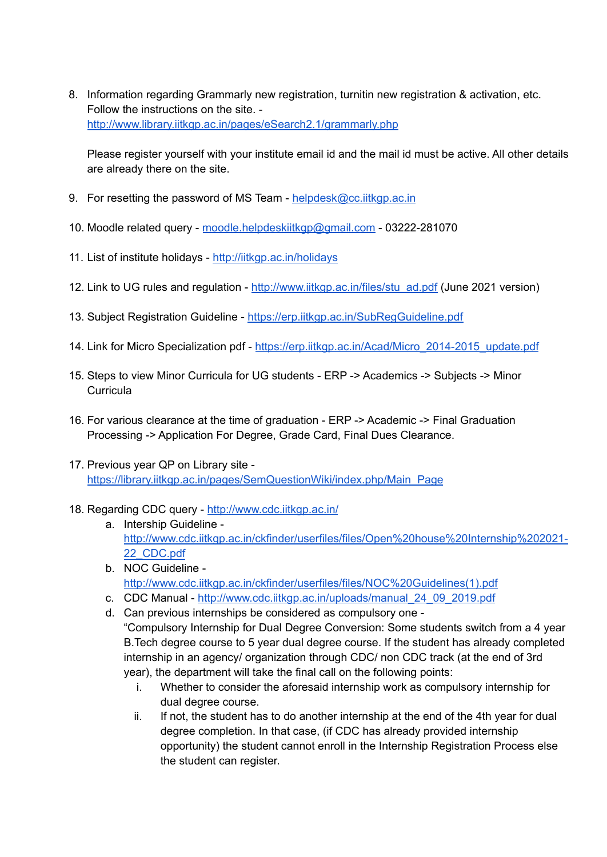8. Information regarding Grammarly new registration, turnitin new registration & activation, etc. Follow the instructions on the site. <http://www.library.iitkgp.ac.in/pages/eSearch2.1/grammarly.php>

Please register yourself with your institute email id and the mail id must be active. All other details are already there on the site.

- 9. For resetting the password of MS Team [helpdesk@cc.iitkgp.ac.in](mailto:helpdesk@cc.iitkgp.ac.in)
- 10. Moodle related query [moodle.helpdeskiitkgp@gmail.com](mailto:moodle.helpdeskiitkgp@gmail.com) 03222-281070
- 11. List of institute holidays <http://iitkgp.ac.in/holidays>
- 12. Link to UG rules and regulation [http://www.iitkgp.ac.in/files/stu\\_ad.pdf](http://www.iitkgp.ac.in/files/stu_ad.pdf) (June 2021 version)
- 13. Subject Registration Guideline <https://erp.iitkgp.ac.in/SubRegGuideline.pdf>
- 14. Link for Micro Specialization pdf [https://erp.iitkgp.ac.in/Acad/Micro\\_2014-2015\\_update.pdf](https://erp.iitkgp.ac.in/Acad/Micro_2014-2015_update.pdf)
- 15. Steps to view Minor Curricula for UG students ERP -> Academics -> Subjects -> Minor **Curricula**
- 16. For various clearance at the time of graduation ERP -> Academic -> Final Graduation Processing -> Application For Degree, Grade Card, Final Dues Clearance.
- 17. Previous year QP on Library site [https://library.iitkgp.ac.in/pages/SemQuestionWiki/index.php/Main\\_Page](https://library.iitkgp.ac.in/pages/SemQuestionWiki/index.php/Main_Page)
- 18. Regarding CDC query <http://www.cdc.iitkgp.ac.in/>
	- a. Intership Guideline [http://www.cdc.iitkgp.ac.in/ckfinder/userfiles/files/Open%20house%20Internship%202021-](http://www.cdc.iitkgp.ac.in/ckfinder/userfiles/files/Open%20house%20Internship%202021-22_CDC.pdf) [22\\_CDC.pdf](http://www.cdc.iitkgp.ac.in/ckfinder/userfiles/files/Open%20house%20Internship%202021-22_CDC.pdf)
	- b. NOC Guideline [http://www.cdc.iitkgp.ac.in/ckfinder/userfiles/files/NOC%20Guidelines\(1\).pdf](http://www.cdc.iitkgp.ac.in/ckfinder/userfiles/files/NOC%20Guidelines(1).pdf)
	- c. CDC Manual [http://www.cdc.iitkgp.ac.in/uploads/manual\\_24\\_09\\_2019.pdf](http://www.cdc.iitkgp.ac.in/uploads/manual_24_09_2019.pdf)
	- d. Can previous internships be considered as compulsory one "Compulsory Internship for Dual Degree Conversion: Some students switch from a 4 year B.Tech degree course to 5 year dual degree course. If the student has already completed internship in an agency/ organization through CDC/ non CDC track (at the end of 3rd year), the department will take the final call on the following points:
		- i. Whether to consider the aforesaid internship work as compulsory internship for dual degree course.
		- ii. If not, the student has to do another internship at the end of the 4th year for dual degree completion. In that case, (if CDC has already provided internship opportunity) the student cannot enroll in the Internship Registration Process else the student can register.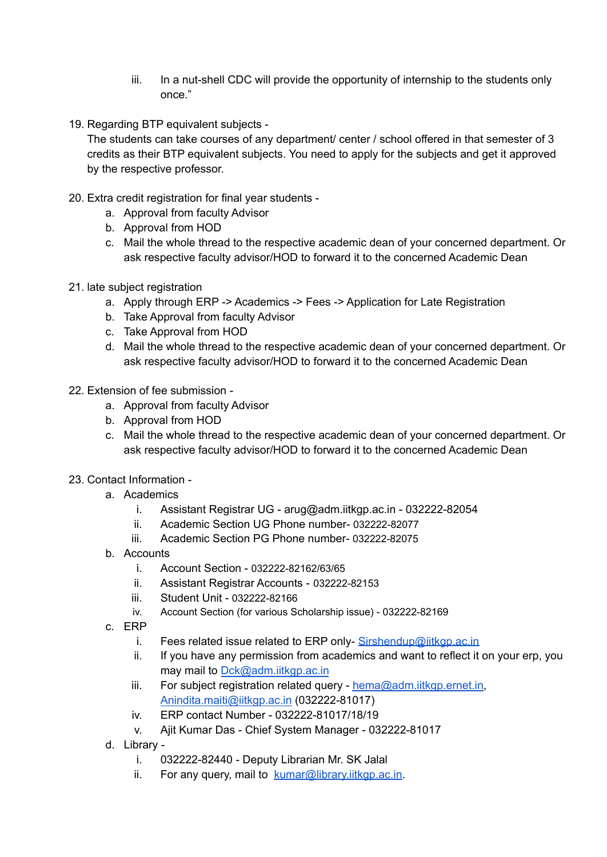- iii. In a nut-shell CDC will provide the opportunity of internship to the students only once."
- 19. Regarding BTP equivalent subjects -

The students can take courses of any department/ center / school offered in that semester of 3 credits as their BTP equivalent subjects. You need to apply for the subjects and get it approved by the respective professor.

- 20. Extra credit registration for final year students
	- a. Approval from faculty Advisor
	- b. Approval from HOD
	- c. Mail the whole thread to the respective academic dean of your concerned department. Or ask respective faculty advisor/HOD to forward it to the concerned Academic Dean
- 21. late subject registration
	- a. Apply through ERP -> Academics -> Fees -> Application for Late Registration
	- b. Take Approval from faculty Advisor
	- c. Take Approval from HOD
	- d. Mail the whole thread to the respective academic dean of your concerned department. Or ask respective faculty advisor/HOD to forward it to the concerned Academic Dean
- 22. Extension of fee submission
	- a. Approval from faculty Advisor
	- b. Approval from HOD
	- c. Mail the whole thread to the respective academic dean of your concerned department. Or ask respective faculty advisor/HOD to forward it to the concerned Academic Dean
- 23. Contact Information
	- a. Academics
		- i. Assistant Registrar UG arug@adm.iitkgp.ac.in 032222-82054
		- ii. Academic Section UG Phone number- 032222-82077
		- iii. Academic Section PG Phone number- 032222-82075
	- b. Accounts
		- i. Account Section 032222-82162/63/65
		- ii. Assistant Registrar Accounts 032222-82153
		- iii. Student Unit 032222-82166
		- iv. Account Section (for various Scholarship issue) 032222-82169
	- c. ERP
		- i. Fees related issue related to ERP only-[Sirshendup@iitkgp.ac.in](mailto:Sirshendup@iitkgp.ac.in)
		- ii. If you have any permission from academics and want to reflect it on your erp, you may mail to [Dck@adm.iitkgp.ac.in](mailto:Dck@adm.iitkgp.ac.in)
		- iii. For subject registration related query hema@adm.jitkgp.ernet.in. [Anindita.maiti@iitkgp.ac.in](mailto:Anindita.maiti@iitkgp.ac.in) (032222-81017)
		- iv. ERP contact Number 032222-81017/18/19
		- v. Ajit Kumar Das Chief System Manager 032222-81017
	- d. Library
		- i. 032222-82440 Deputy Librarian Mr. SK Jalal
		- ii. For any query, mail to [kumar@library.iitkgp.ac.in.](mailto:kumar@library.iitkgp.ac.in)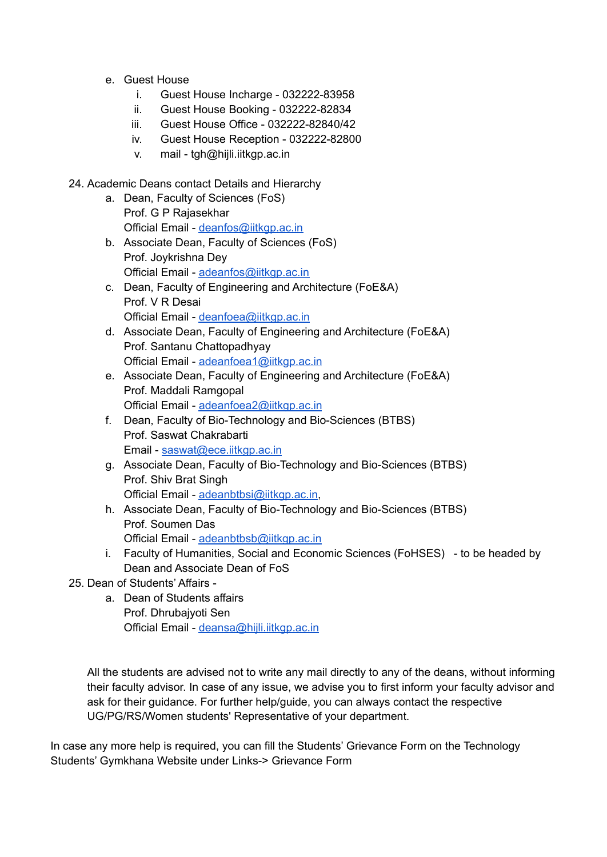- e. Guest House
	- i. Guest House Incharge 032222-83958
	- ii. Guest House Booking 032222-82834
	- iii. Guest House Office 032222-82840/42
	- iv. Guest House Reception 032222-82800
	- v. mail tgh@hijli.iitkgp.ac.in
- 24. Academic Deans contact Details and Hierarchy
	- a. Dean, Faculty of Sciences (FoS) Prof. G P Rajasekhar Official Email - [deanfos@iitkgp.ac.in](mailto:deanfos@iitkgp.ac.in)
	- b. Associate Dean, Faculty of Sciences (FoS) Prof. Joykrishna Dey Official Email - [adeanfos@iitkgp.ac.in](mailto:adeanfos@iitkgp.ac.in)
	- c. Dean, Faculty of Engineering and Architecture (FoE&A) Prof. V R Desai Official Email - [deanfoea@iitkgp.ac.in](mailto:deanfoea@iitkgp.ac.in)
	- d. Associate Dean, Faculty of Engineering and Architecture (FoE&A) Prof. Santanu Chattopadhyay Official Email - [adeanfoea1@iitkgp.ac.in](mailto:adeanfoea1@iitkgp.ac.in)
	- e. Associate Dean, Faculty of Engineering and Architecture (FoE&A) Prof. Maddali Ramgopal Official Email - [adeanfoea2@iitkgp.ac.in](mailto:adeanfoea2@iitkgp.ac.in)
	- f. Dean, Faculty of Bio-Technology and Bio-Sciences (BTBS) Prof. Saswat Chakrabarti Email - [saswat@ece.iitkgp.ac.in](mailto:saswat@ece.iitkgp.ac.in)
	- g. Associate Dean, Faculty of Bio-Technology and Bio-Sciences (BTBS) Prof. Shiv Brat Singh Official Email - [adeanbtbsi@iitkgp.ac.in](mailto:adeanbtbsi@iitkgp.ac.in),
	- h. Associate Dean, Faculty of Bio-Technology and Bio-Sciences (BTBS) Prof. Soumen Das Official Email - [adeanbtbsb@iitkgp.ac.in](mailto:adeanbtbsb@iitkgp.ac.in)
	- i. Faculty of Humanities, Social and Economic Sciences (FoHSES) to be headed by Dean and Associate Dean of FoS
- 25. Dean of Students' Affairs
	- a. Dean of Students affairs Prof. Dhrubajyoti Sen Official Email - [deansa@hijli.iitkgp.ac.in](mailto:deansa@hijli.iitkgp.ac.in)

All the students are advised not to write any mail directly to any of the deans, without informing their faculty advisor. In case of any issue, we advise you to first inform your faculty advisor and ask for their guidance. For further help/guide, you can always contact the respective UG/PG/RS/Women students' Representative of your department.

In case any more help is required, you can fill the Students' Grievance Form on the Technology Students' Gymkhana Website under Links-> Grievance Form